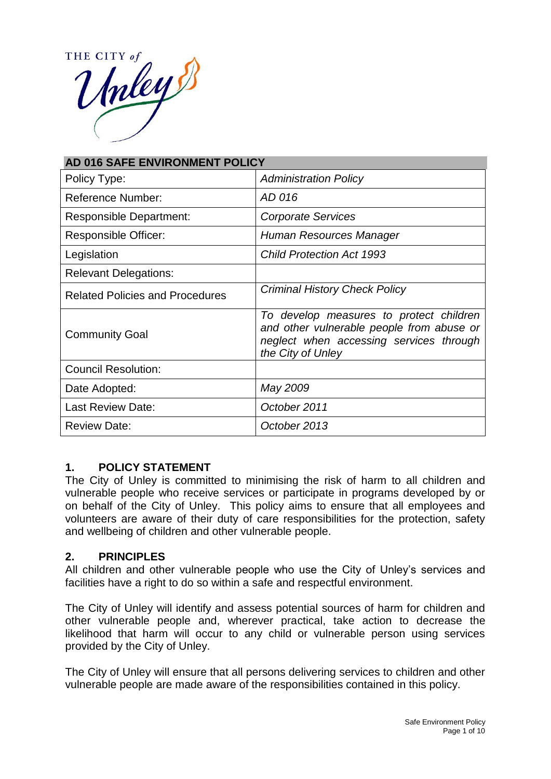THE CITY of THE CITY

| AD 016 SAFE ENVIRONMENT POLICY         |                                                                                                                                                      |
|----------------------------------------|------------------------------------------------------------------------------------------------------------------------------------------------------|
| Policy Type:                           | <b>Administration Policy</b>                                                                                                                         |
| <b>Reference Number:</b>               | AD 016                                                                                                                                               |
| <b>Responsible Department:</b>         | <b>Corporate Services</b>                                                                                                                            |
| Responsible Officer:                   | Human Resources Manager                                                                                                                              |
| Legislation                            | <b>Child Protection Act 1993</b>                                                                                                                     |
| <b>Relevant Delegations:</b>           |                                                                                                                                                      |
| <b>Related Policies and Procedures</b> | <b>Criminal History Check Policy</b>                                                                                                                 |
| <b>Community Goal</b>                  | To develop measures to protect children<br>and other vulnerable people from abuse or<br>neglect when accessing services through<br>the City of Unley |
| <b>Council Resolution:</b>             |                                                                                                                                                      |
| Date Adopted:                          | May 2009                                                                                                                                             |
| <b>Last Review Date:</b>               | October 2011                                                                                                                                         |
| <b>Review Date:</b>                    | October 2013                                                                                                                                         |

### **1. POLICY STATEMENT**

The City of Unley is committed to minimising the risk of harm to all children and vulnerable people who receive services or participate in programs developed by or on behalf of the City of Unley. This policy aims to ensure that all employees and volunteers are aware of their duty of care responsibilities for the protection, safety and wellbeing of children and other vulnerable people.

### **2. PRINCIPLES**

All children and other vulnerable people who use the City of Unley's services and facilities have a right to do so within a safe and respectful environment.

The City of Unley will identify and assess potential sources of harm for children and other vulnerable people and, wherever practical, take action to decrease the likelihood that harm will occur to any child or vulnerable person using services provided by the City of Unley.

The City of Unley will ensure that all persons delivering services to children and other vulnerable people are made aware of the responsibilities contained in this policy.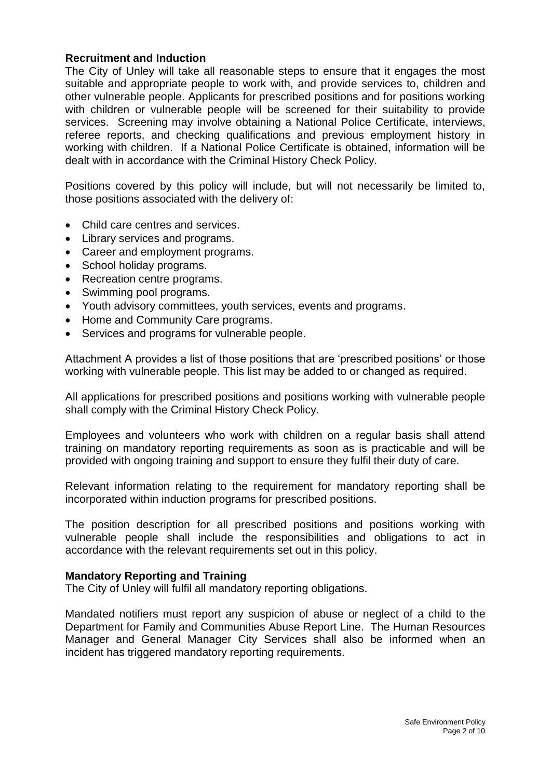### **Recruitment and Induction**

The City of Unley will take all reasonable steps to ensure that it engages the most suitable and appropriate people to work with, and provide services to, children and other vulnerable people. Applicants for prescribed positions and for positions working with children or vulnerable people will be screened for their suitability to provide services. Screening may involve obtaining a National Police Certificate, interviews, referee reports, and checking qualifications and previous employment history in working with children. If a National Police Certificate is obtained, information will be dealt with in accordance with the Criminal History Check Policy.

Positions covered by this policy will include, but will not necessarily be limited to, those positions associated with the delivery of:

- Child care centres and services.
- Library services and programs.
- Career and employment programs.
- School holiday programs.
- Recreation centre programs.
- Swimming pool programs.
- Youth advisory committees, youth services, events and programs.
- Home and Community Care programs.
- Services and programs for vulnerable people.

Attachment A provides a list of those positions that are 'prescribed positions' or those working with vulnerable people. This list may be added to or changed as required.

All applications for prescribed positions and positions working with vulnerable people shall comply with the Criminal History Check Policy.

Employees and volunteers who work with children on a regular basis shall attend training on mandatory reporting requirements as soon as is practicable and will be provided with ongoing training and support to ensure they fulfil their duty of care.

Relevant information relating to the requirement for mandatory reporting shall be incorporated within induction programs for prescribed positions.

The position description for all prescribed positions and positions working with vulnerable people shall include the responsibilities and obligations to act in accordance with the relevant requirements set out in this policy.

#### **Mandatory Reporting and Training**

The City of Unley will fulfil all mandatory reporting obligations.

Mandated notifiers must report any suspicion of abuse or neglect of a child to the Department for Family and Communities Abuse Report Line. The Human Resources Manager and General Manager City Services shall also be informed when an incident has triggered mandatory reporting requirements.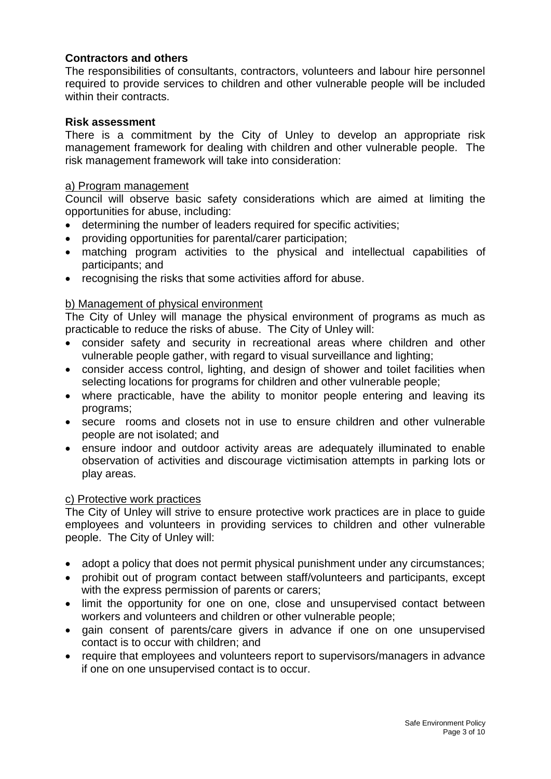### **Contractors and others**

The responsibilities of consultants, contractors, volunteers and labour hire personnel required to provide services to children and other vulnerable people will be included within their contracts.

### **Risk assessment**

There is a commitment by the City of Unley to develop an appropriate risk management framework for dealing with children and other vulnerable people. The risk management framework will take into consideration:

#### a) Program management

Council will observe basic safety considerations which are aimed at limiting the opportunities for abuse, including:

- determining the number of leaders required for specific activities;
- providing opportunities for parental/carer participation;
- matching program activities to the physical and intellectual capabilities of participants; and
- recognising the risks that some activities afford for abuse.

### b) Management of physical environment

The City of Unley will manage the physical environment of programs as much as practicable to reduce the risks of abuse. The City of Unley will:

- consider safety and security in recreational areas where children and other vulnerable people gather, with regard to visual surveillance and lighting;
- consider access control, lighting, and design of shower and toilet facilities when selecting locations for programs for children and other vulnerable people;
- where practicable, have the ability to monitor people entering and leaving its programs;
- secure rooms and closets not in use to ensure children and other vulnerable people are not isolated; and
- ensure indoor and outdoor activity areas are adequately illuminated to enable observation of activities and discourage victimisation attempts in parking lots or play areas.

### c) Protective work practices

The City of Unley will strive to ensure protective work practices are in place to guide employees and volunteers in providing services to children and other vulnerable people. The City of Unley will:

- adopt a policy that does not permit physical punishment under any circumstances;
- prohibit out of program contact between staff/volunteers and participants, except with the express permission of parents or carers;
- limit the opportunity for one on one, close and unsupervised contact between workers and volunteers and children or other vulnerable people;
- gain consent of parents/care givers in advance if one on one unsupervised contact is to occur with children; and
- require that employees and volunteers report to supervisors/managers in advance if one on one unsupervised contact is to occur.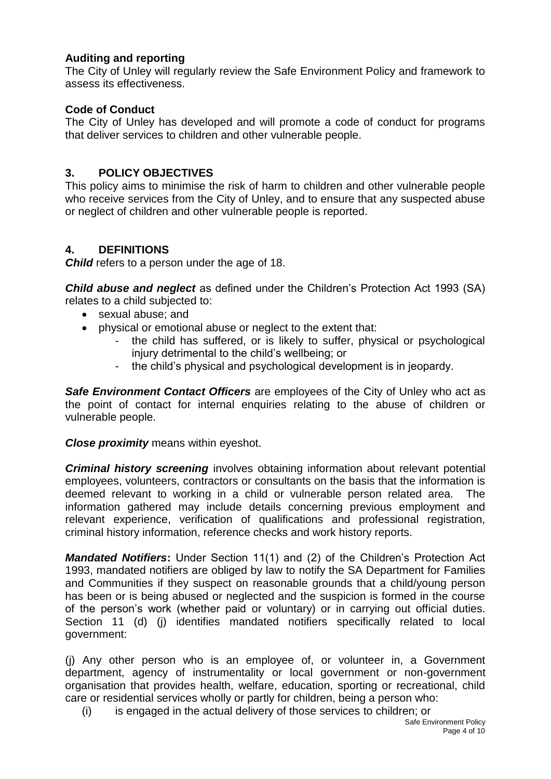# **Auditing and reporting**

The City of Unley will regularly review the Safe Environment Policy and framework to assess its effectiveness.

## **Code of Conduct**

The City of Unley has developed and will promote a code of conduct for programs that deliver services to children and other vulnerable people.

### **3. POLICY OBJECTIVES**

This policy aims to minimise the risk of harm to children and other vulnerable people who receive services from the City of Unley, and to ensure that any suspected abuse or neglect of children and other vulnerable people is reported.

## **4. DEFINITIONS**

*Child* refers to a person under the age of 18.

*Child abuse and neglect* as defined under the Children's Protection Act 1993 (SA) relates to a child subjected to:

- sexual abuse: and
- physical or emotional abuse or neglect to the extent that:
	- the child has suffered, or is likely to suffer, physical or psychological injury detrimental to the child's wellbeing; or
	- the child's physical and psychological development is in jeopardy.

*Safe Environment Contact Officers* are employees of the City of Unley who act as the point of contact for internal enquiries relating to the abuse of children or vulnerable people.

*Close proximity* means within eyeshot.

*Criminal history screening* involves obtaining information about relevant potential employees, volunteers, contractors or consultants on the basis that the information is deemed relevant to working in a child or vulnerable person related area. The information gathered may include details concerning previous employment and relevant experience, verification of qualifications and professional registration, criminal history information, reference checks and work history reports.

*Mandated Notifiers***:** Under Section 11(1) and (2) of the Children's Protection Act 1993, mandated notifiers are obliged by law to notify the SA Department for Families and Communities if they suspect on reasonable grounds that a child/young person has been or is being abused or neglected and the suspicion is formed in the course of the person's work (whether paid or voluntary) or in carrying out official duties. Section 11 (d) (j) identifies mandated notifiers specifically related to local government:

(j) Any other person who is an employee of, or volunteer in, a Government department, agency of instrumentality or local government or non-government organisation that provides health, welfare, education, sporting or recreational, child care or residential services wholly or partly for children, being a person who:

(i) is engaged in the actual delivery of those services to children; or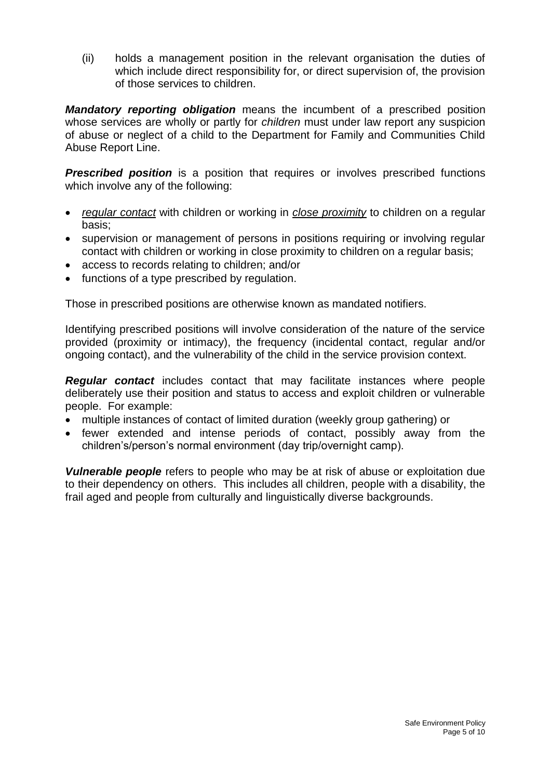(ii) holds a management position in the relevant organisation the duties of which include direct responsibility for, or direct supervision of, the provision of those services to children.

*Mandatory reporting obligation* means the incumbent of a prescribed position whose services are wholly or partly for *children* must under law report any suspicion of abuse or neglect of a child to the Department for Family and Communities Child Abuse Report Line.

**Prescribed position** is a position that requires or involves prescribed functions which involve any of the following:

- *regular contact* with children or working in *close proximity* to children on a regular basis;
- supervision or management of persons in positions requiring or involving regular contact with children or working in close proximity to children on a regular basis;
- access to records relating to children; and/or
- functions of a type prescribed by regulation.

Those in prescribed positions are otherwise known as mandated notifiers.

Identifying prescribed positions will involve consideration of the nature of the service provided (proximity or intimacy), the frequency (incidental contact, regular and/or ongoing contact), and the vulnerability of the child in the service provision context.

*Regular contact* includes contact that may facilitate instances where people deliberately use their position and status to access and exploit children or vulnerable people. For example:

- multiple instances of contact of limited duration (weekly group gathering) or
- fewer extended and intense periods of contact, possibly away from the children's/person's normal environment (day trip/overnight camp).

*Vulnerable people* refers to people who may be at risk of abuse or exploitation due to their dependency on others. This includes all children, people with a disability, the frail aged and people from culturally and linguistically diverse backgrounds.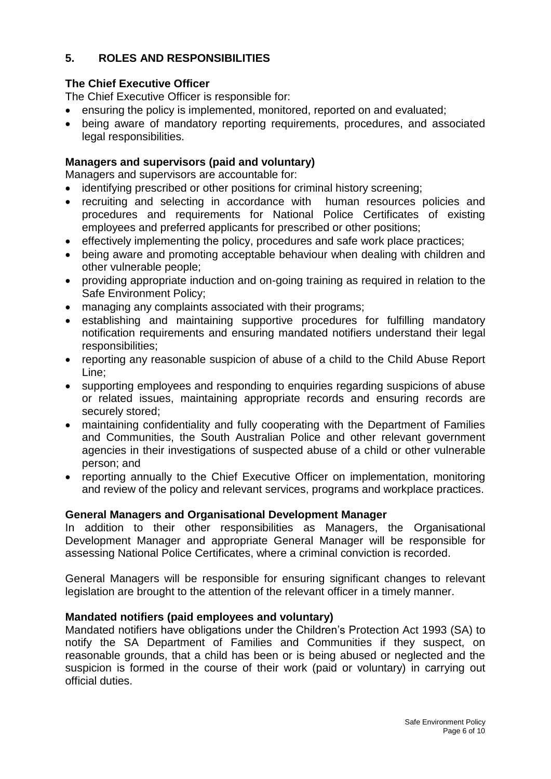# **5. ROLES AND RESPONSIBILITIES**

# **The Chief Executive Officer**

The Chief Executive Officer is responsible for:

- ensuring the policy is implemented, monitored, reported on and evaluated;
- being aware of mandatory reporting requirements, procedures, and associated legal responsibilities.

# **Managers and supervisors (paid and voluntary)**

Managers and supervisors are accountable for:

- identifying prescribed or other positions for criminal history screening;
- recruiting and selecting in accordance with human resources policies and procedures and requirements for National Police Certificates of existing employees and preferred applicants for prescribed or other positions;
- effectively implementing the policy, procedures and safe work place practices;
- being aware and promoting acceptable behaviour when dealing with children and other vulnerable people;
- providing appropriate induction and on-going training as required in relation to the Safe Environment Policy;
- managing any complaints associated with their programs;
- establishing and maintaining supportive procedures for fulfilling mandatory notification requirements and ensuring mandated notifiers understand their legal responsibilities;
- reporting any reasonable suspicion of abuse of a child to the Child Abuse Report Line;
- supporting employees and responding to enquiries regarding suspicions of abuse or related issues, maintaining appropriate records and ensuring records are securely stored;
- maintaining confidentiality and fully cooperating with the Department of Families and Communities, the South Australian Police and other relevant government agencies in their investigations of suspected abuse of a child or other vulnerable person; and
- reporting annually to the Chief Executive Officer on implementation, monitoring and review of the policy and relevant services, programs and workplace practices.

### **General Managers and Organisational Development Manager**

In addition to their other responsibilities as Managers, the Organisational Development Manager and appropriate General Manager will be responsible for assessing National Police Certificates, where a criminal conviction is recorded.

General Managers will be responsible for ensuring significant changes to relevant legislation are brought to the attention of the relevant officer in a timely manner.

### **Mandated notifiers (paid employees and voluntary)**

Mandated notifiers have obligations under the Children's Protection Act 1993 (SA) to notify the SA Department of Families and Communities if they suspect, on reasonable grounds, that a child has been or is being abused or neglected and the suspicion is formed in the course of their work (paid or voluntary) in carrying out official duties.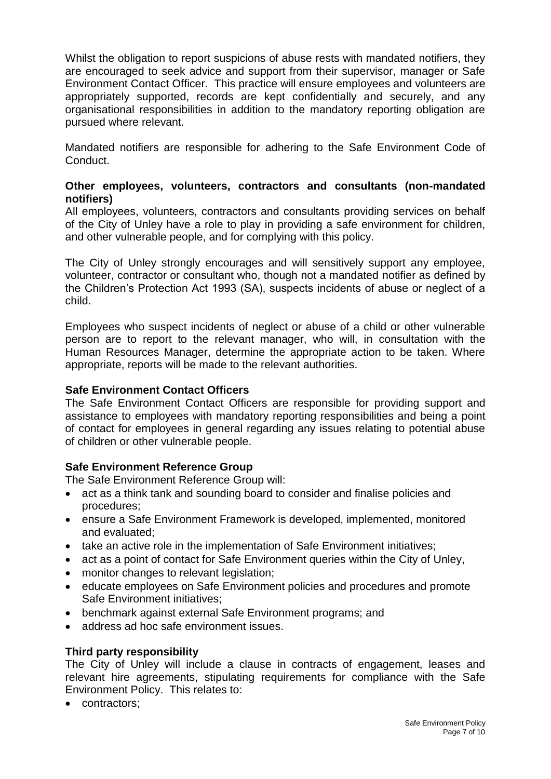Whilst the obligation to report suspicions of abuse rests with mandated notifiers, they are encouraged to seek advice and support from their supervisor, manager or Safe Environment Contact Officer. This practice will ensure employees and volunteers are appropriately supported, records are kept confidentially and securely, and any organisational responsibilities in addition to the mandatory reporting obligation are pursued where relevant.

Mandated notifiers are responsible for adhering to the Safe Environment Code of Conduct.

## **Other employees, volunteers, contractors and consultants (non-mandated notifiers)**

All employees, volunteers, contractors and consultants providing services on behalf of the City of Unley have a role to play in providing a safe environment for children, and other vulnerable people, and for complying with this policy.

The City of Unley strongly encourages and will sensitively support any employee, volunteer, contractor or consultant who, though not a mandated notifier as defined by the Children's Protection Act 1993 (SA), suspects incidents of abuse or neglect of a child.

Employees who suspect incidents of neglect or abuse of a child or other vulnerable person are to report to the relevant manager, who will, in consultation with the Human Resources Manager, determine the appropriate action to be taken. Where appropriate, reports will be made to the relevant authorities.

### **Safe Environment Contact Officers**

The Safe Environment Contact Officers are responsible for providing support and assistance to employees with mandatory reporting responsibilities and being a point of contact for employees in general regarding any issues relating to potential abuse of children or other vulnerable people.

### **Safe Environment Reference Group**

The Safe Environment Reference Group will:

- act as a think tank and sounding board to consider and finalise policies and procedures;
- ensure a Safe Environment Framework is developed, implemented, monitored and evaluated;
- take an active role in the implementation of Safe Environment initiatives;
- act as a point of contact for Safe Environment queries within the City of Unley,
- monitor changes to relevant legislation;
- educate employees on Safe Environment policies and procedures and promote Safe Environment initiatives;
- benchmark against external Safe Environment programs; and
- address ad hoc safe environment issues.

### **Third party responsibility**

The City of Unley will include a clause in contracts of engagement, leases and relevant hire agreements, stipulating requirements for compliance with the Safe Environment Policy. This relates to:

• contractors;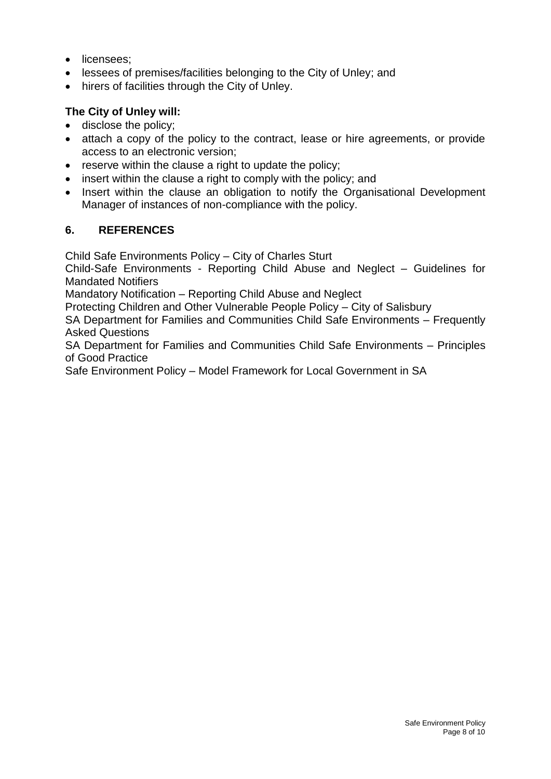- licensees;
- lessees of premises/facilities belonging to the City of Unley; and
- hirers of facilities through the City of Unley.

# **The City of Unley will:**

- disclose the policy;
- attach a copy of the policy to the contract, lease or hire agreements, or provide access to an electronic version;
- reserve within the clause a right to update the policy;
- insert within the clause a right to comply with the policy; and
- Insert within the clause an obligation to notify the Organisational Development Manager of instances of non-compliance with the policy.

# **6. REFERENCES**

Child Safe Environments Policy – City of Charles Sturt

Child-Safe Environments - Reporting Child Abuse and Neglect – Guidelines for Mandated Notifiers

Mandatory Notification – Reporting Child Abuse and Neglect

Protecting Children and Other Vulnerable People Policy – City of Salisbury

SA Department for Families and Communities Child Safe Environments – Frequently Asked Questions

SA Department for Families and Communities Child Safe Environments – Principles of Good Practice

Safe Environment Policy – Model Framework for Local Government in SA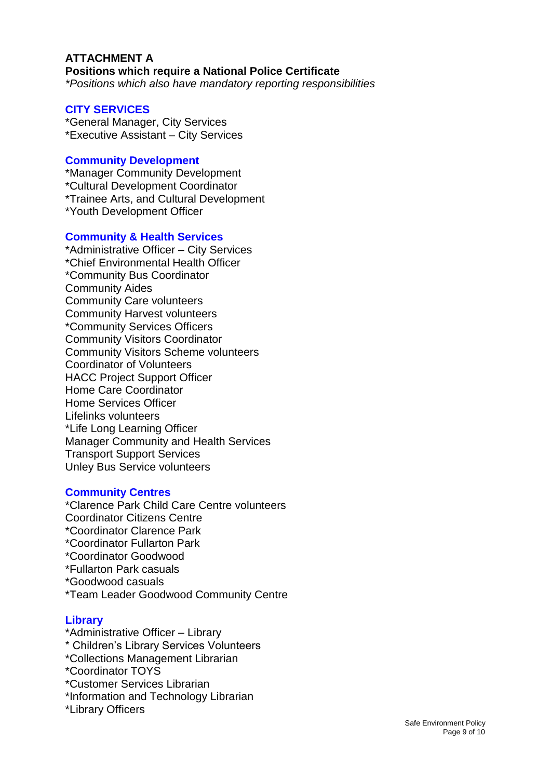#### **ATTACHMENT A Positions which require a National Police Certificate**  *\*Positions which also have mandatory reporting responsibilities*

# **CITY SERVICES**

\*General Manager, City Services \*Executive Assistant – City Services

### **Community Development**

\*Manager Community Development \*Cultural Development Coordinator \*Trainee Arts, and Cultural Development \*Youth Development Officer

#### **Community & Health Services**

\*Administrative Officer – City Services \*Chief Environmental Health Officer \*Community Bus Coordinator Community Aides Community Care volunteers Community Harvest volunteers \*Community Services Officers Community Visitors Coordinator Community Visitors Scheme volunteers Coordinator of Volunteers HACC Project Support Officer Home Care Coordinator Home Services Officer Lifelinks volunteers \*Life Long Learning Officer Manager Community and Health Services Transport Support Services Unley Bus Service volunteers

### **Community Centres**

\*Clarence Park Child Care Centre volunteers Coordinator Citizens Centre \*Coordinator Clarence Park \*Coordinator Fullarton Park \*Coordinator Goodwood \*Fullarton Park casuals \*Goodwood casuals \*Team Leader Goodwood Community Centre

#### **Library**

- \*Administrative Officer Library
- \* Children's Library Services Volunteers
- \*Collections Management Librarian
- \*Coordinator TOYS
- \*Customer Services Librarian
- \*Information and Technology Librarian
- \*Library Officers